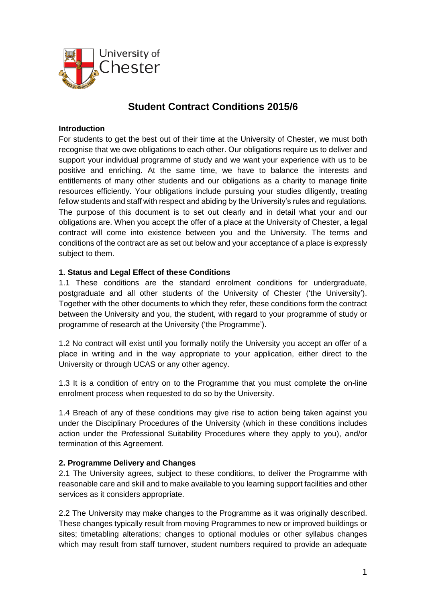

# **Student Contract Conditions 2015/6**

#### **Introduction**

For students to get the best out of their time at the University of Chester, we must both recognise that we owe obligations to each other. Our obligations require us to deliver and support your individual programme of study and we want your experience with us to be positive and enriching. At the same time, we have to balance the interests and entitlements of many other students and our obligations as a charity to manage finite resources efficiently. Your obligations include pursuing your studies diligently, treating fellow students and staff with respect and abiding by the University's rules and regulations. The purpose of this document is to set out clearly and in detail what your and our obligations are. When you accept the offer of a place at the University of Chester, a legal contract will come into existence between you and the University. The terms and conditions of the contract are as set out below and your acceptance of a place is expressly subject to them.

#### **1. Status and Legal Effect of these Conditions**

1.1 These conditions are the standard enrolment conditions for undergraduate, postgraduate and all other students of the University of Chester ('the University'). Together with the other documents to which they refer, these conditions form the contract between the University and you, the student, with regard to your programme of study or programme of research at the University ('the Programme').

1.2 No contract will exist until you formally notify the University you accept an offer of a place in writing and in the way appropriate to your application, either direct to the University or through UCAS or any other agency.

1.3 It is a condition of entry on to the Programme that you must complete the on-line enrolment process when requested to do so by the University.

1.4 Breach of any of these conditions may give rise to action being taken against you under the Disciplinary Procedures of the University (which in these conditions includes action under the Professional Suitability Procedures where they apply to you), and/or termination of this Agreement.

## **2. Programme Delivery and Changes**

2.1 The University agrees, subject to these conditions, to deliver the Programme with reasonable care and skill and to make available to you learning support facilities and other services as it considers appropriate.

2.2 The University may make changes to the Programme as it was originally described. These changes typically result from moving Programmes to new or improved buildings or sites; timetabling alterations; changes to optional modules or other syllabus changes which may result from staff turnover, student numbers required to provide an adequate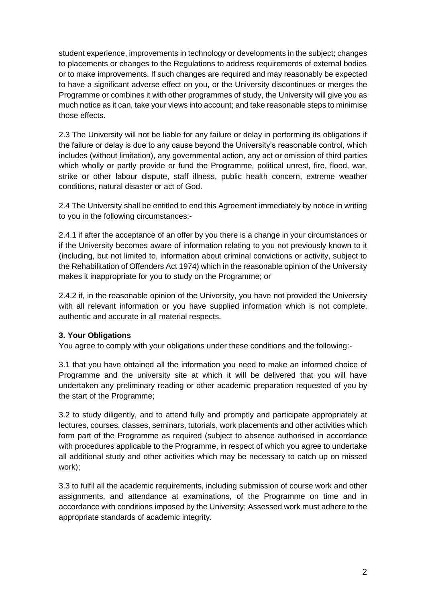student experience, improvements in technology or developments in the subject; changes to placements or changes to the Regulations to address requirements of external bodies or to make improvements. If such changes are required and may reasonably be expected to have a significant adverse effect on you, or the University discontinues or merges the Programme or combines it with other programmes of study, the University will give you as much notice as it can, take your views into account; and take reasonable steps to minimise those effects.

2.3 The University will not be liable for any failure or delay in performing its obligations if the failure or delay is due to any cause beyond the University's reasonable control, which includes (without limitation), any governmental action, any act or omission of third parties which wholly or partly provide or fund the Programme, political unrest, fire, flood, war, strike or other labour dispute, staff illness, public health concern, extreme weather conditions, natural disaster or act of God.

2.4 The University shall be entitled to end this Agreement immediately by notice in writing to you in the following circumstances:-

2.4.1 if after the acceptance of an offer by you there is a change in your circumstances or if the University becomes aware of information relating to you not previously known to it (including, but not limited to, information about criminal convictions or activity, subject to the Rehabilitation of Offenders Act 1974) which in the reasonable opinion of the University makes it inappropriate for you to study on the Programme; or

2.4.2 if, in the reasonable opinion of the University, you have not provided the University with all relevant information or you have supplied information which is not complete, authentic and accurate in all material respects.

## **3. Your Obligations**

You agree to comply with your obligations under these conditions and the following:-

3.1 that you have obtained all the information you need to make an informed choice of Programme and the university site at which it will be delivered that you will have undertaken any preliminary reading or other academic preparation requested of you by the start of the Programme;

3.2 to study diligently, and to attend fully and promptly and participate appropriately at lectures, courses, classes, seminars, tutorials, work placements and other activities which form part of the Programme as required (subject to absence authorised in accordance with procedures applicable to the Programme, in respect of which you agree to undertake all additional study and other activities which may be necessary to catch up on missed work);

3.3 to fulfil all the academic requirements, including submission of course work and other assignments, and attendance at examinations, of the Programme on time and in accordance with conditions imposed by the University; Assessed work must adhere to the appropriate standards of academic integrity.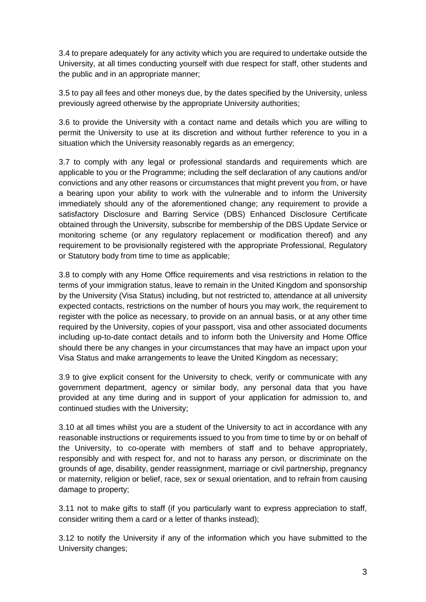3.4 to prepare adequately for any activity which you are required to undertake outside the University, at all times conducting yourself with due respect for staff, other students and the public and in an appropriate manner;

3.5 to pay all fees and other moneys due, by the dates specified by the University, unless previously agreed otherwise by the appropriate University authorities;

3.6 to provide the University with a contact name and details which you are willing to permit the University to use at its discretion and without further reference to you in a situation which the University reasonably regards as an emergency;

3.7 to comply with any legal or professional standards and requirements which are applicable to you or the Programme; including the self declaration of any cautions and/or convictions and any other reasons or circumstances that might prevent you from, or have a bearing upon your ability to work with the vulnerable and to inform the University immediately should any of the aforementioned change; any requirement to provide a satisfactory Disclosure and Barring Service (DBS) Enhanced Disclosure Certificate obtained through the University, subscribe for membership of the DBS Update Service or monitoring scheme (or any regulatory replacement or modification thereof) and any requirement to be provisionally registered with the appropriate Professional, Regulatory or Statutory body from time to time as applicable;

3.8 to comply with any Home Office requirements and visa restrictions in relation to the terms of your immigration status, leave to remain in the United Kingdom and sponsorship by the University (Visa Status) including, but not restricted to, attendance at all university expected contacts, restrictions on the number of hours you may work, the requirement to register with the police as necessary, to provide on an annual basis, or at any other time required by the University, copies of your passport, visa and other associated documents including up-to-date contact details and to inform both the University and Home Office should there be any changes in your circumstances that may have an impact upon your Visa Status and make arrangements to leave the United Kingdom as necessary;

3.9 to give explicit consent for the University to check, verify or communicate with any government department, agency or similar body, any personal data that you have provided at any time during and in support of your application for admission to, and continued studies with the University;

3.10 at all times whilst you are a student of the University to act in accordance with any reasonable instructions or requirements issued to you from time to time by or on behalf of the University, to co-operate with members of staff and to behave appropriately, responsibly and with respect for, and not to harass any person, or discriminate on the grounds of age, disability, gender reassignment, marriage or civil partnership, pregnancy or maternity, religion or belief, race, sex or sexual orientation, and to refrain from causing damage to property;

3.11 not to make gifts to staff (if you particularly want to express appreciation to staff, consider writing them a card or a letter of thanks instead);

3.12 to notify the University if any of the information which you have submitted to the University changes;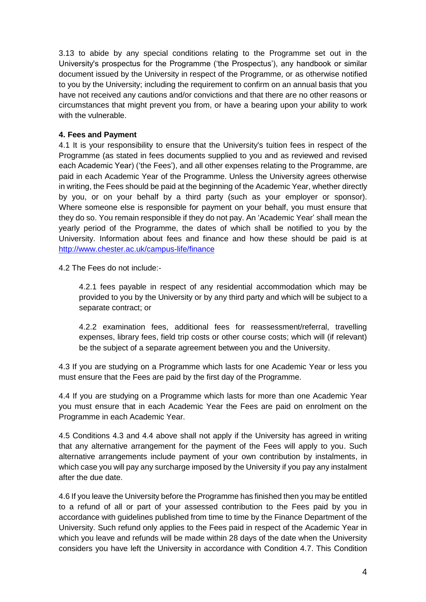3.13 to abide by any special conditions relating to the Programme set out in the University's prospectus for the Programme ('the Prospectus'), any handbook or similar document issued by the University in respect of the Programme, or as otherwise notified to you by the University; including the requirement to confirm on an annual basis that you have not received any cautions and/or convictions and that there are no other reasons or circumstances that might prevent you from, or have a bearing upon your ability to work with the vulnerable.

## **4. Fees and Payment**

4.1 It is your responsibility to ensure that the University's tuition fees in respect of the Programme (as stated in fees documents supplied to you and as reviewed and revised each Academic Year) ('the Fees'), and all other expenses relating to the Programme, are paid in each Academic Year of the Programme. Unless the University agrees otherwise in writing, the Fees should be paid at the beginning of the Academic Year, whether directly by you, or on your behalf by a third party (such as your employer or sponsor). Where someone else is responsible for payment on your behalf, you must ensure that they do so. You remain responsible if they do not pay. An 'Academic Year' shall mean the yearly period of the Programme, the dates of which shall be notified to you by the University. Information about fees and finance and how these should be paid is at <http://www.chester.ac.uk/campus-life/finance>

4.2 The Fees do not include:-

4.2.1 fees payable in respect of any residential accommodation which may be provided to you by the University or by any third party and which will be subject to a separate contract; or

4.2.2 examination fees, additional fees for reassessment/referral, travelling expenses, library fees, field trip costs or other course costs; which will (if relevant) be the subject of a separate agreement between you and the University.

4.3 If you are studying on a Programme which lasts for one Academic Year or less you must ensure that the Fees are paid by the first day of the Programme.

4.4 If you are studying on a Programme which lasts for more than one Academic Year you must ensure that in each Academic Year the Fees are paid on enrolment on the Programme in each Academic Year.

4.5 Conditions 4.3 and 4.4 above shall not apply if the University has agreed in writing that any alternative arrangement for the payment of the Fees will apply to you. Such alternative arrangements include payment of your own contribution by instalments, in which case you will pay any surcharge imposed by the University if you pay any instalment after the due date.

4.6 If you leave the University before the Programme has finished then you may be entitled to a refund of all or part of your assessed contribution to the Fees paid by you in accordance with guidelines published from time to time by the Finance Department of the University. Such refund only applies to the Fees paid in respect of the Academic Year in which you leave and refunds will be made within 28 days of the date when the University considers you have left the University in accordance with Condition 4.7. This Condition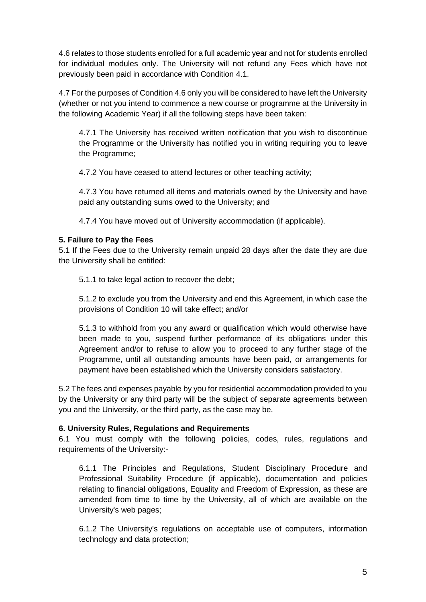4.6 relates to those students enrolled for a full academic year and not for students enrolled for individual modules only. The University will not refund any Fees which have not previously been paid in accordance with Condition 4.1.

4.7 For the purposes of Condition 4.6 only you will be considered to have left the University (whether or not you intend to commence a new course or programme at the University in the following Academic Year) if all the following steps have been taken:

4.7.1 The University has received written notification that you wish to discontinue the Programme or the University has notified you in writing requiring you to leave the Programme;

4.7.2 You have ceased to attend lectures or other teaching activity;

4.7.3 You have returned all items and materials owned by the University and have paid any outstanding sums owed to the University; and

4.7.4 You have moved out of University accommodation (if applicable).

## **5. Failure to Pay the Fees**

5.1 If the Fees due to the University remain unpaid 28 days after the date they are due the University shall be entitled:

5.1.1 to take legal action to recover the debt;

5.1.2 to exclude you from the University and end this Agreement, in which case the provisions of Condition 10 will take effect; and/or

5.1.3 to withhold from you any award or qualification which would otherwise have been made to you, suspend further performance of its obligations under this Agreement and/or to refuse to allow you to proceed to any further stage of the Programme, until all outstanding amounts have been paid, or arrangements for payment have been established which the University considers satisfactory.

5.2 The fees and expenses payable by you for residential accommodation provided to you by the University or any third party will be the subject of separate agreements between you and the University, or the third party, as the case may be.

## **6. University Rules, Regulations and Requirements**

6.1 You must comply with the following policies, codes, rules, regulations and requirements of the University:-

6.1.1 The Principles and Regulations, Student Disciplinary Procedure and Professional Suitability Procedure (if applicable), documentation and policies relating to financial obligations, Equality and Freedom of Expression, as these are amended from time to time by the University, all of which are available on the University's web pages;

6.1.2 The University's regulations on acceptable use of computers, information technology and data protection;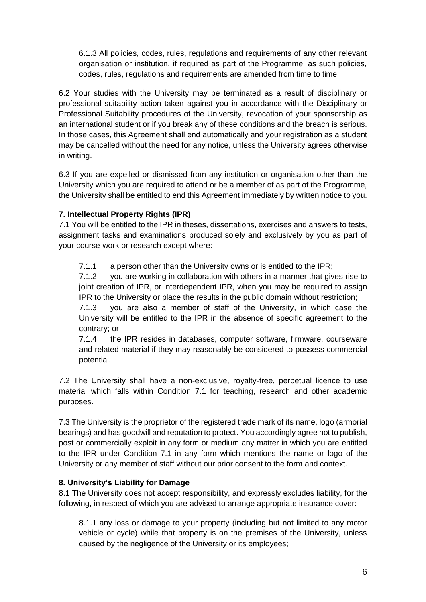6.1.3 All policies, codes, rules, regulations and requirements of any other relevant organisation or institution, if required as part of the Programme, as such policies, codes, rules, regulations and requirements are amended from time to time.

6.2 Your studies with the University may be terminated as a result of disciplinary or professional suitability action taken against you in accordance with the Disciplinary or Professional Suitability procedures of the University, revocation of your sponsorship as an international student or if you break any of these conditions and the breach is serious. In those cases, this Agreement shall end automatically and your registration as a student may be cancelled without the need for any notice, unless the University agrees otherwise in writing.

6.3 If you are expelled or dismissed from any institution or organisation other than the University which you are required to attend or be a member of as part of the Programme, the University shall be entitled to end this Agreement immediately by written notice to you.

# **7. Intellectual Property Rights (IPR)**

7.1 You will be entitled to the IPR in theses, dissertations, exercises and answers to tests, assignment tasks and examinations produced solely and exclusively by you as part of your course-work or research except where:

7.1.1 a person other than the University owns or is entitled to the IPR;

7.1.2 you are working in collaboration with others in a manner that gives rise to joint creation of IPR, or interdependent IPR, when you may be required to assign IPR to the University or place the results in the public domain without restriction;

7.1.3 you are also a member of staff of the University, in which case the University will be entitled to the IPR in the absence of specific agreement to the contrary; or

7.1.4 the IPR resides in databases, computer software, firmware, courseware and related material if they may reasonably be considered to possess commercial potential.

7.2 The University shall have a non-exclusive, royalty-free, perpetual licence to use material which falls within Condition 7.1 for teaching, research and other academic purposes.

7.3 The University is the proprietor of the registered trade mark of its name, logo (armorial bearings) and has goodwill and reputation to protect. You accordingly agree not to publish, post or commercially exploit in any form or medium any matter in which you are entitled to the IPR under Condition 7.1 in any form which mentions the name or logo of the University or any member of staff without our prior consent to the form and context.

## **8. University's Liability for Damage**

8.1 The University does not accept responsibility, and expressly excludes liability, for the following, in respect of which you are advised to arrange appropriate insurance cover:-

8.1.1 any loss or damage to your property (including but not limited to any motor vehicle or cycle) while that property is on the premises of the University, unless caused by the negligence of the University or its employees;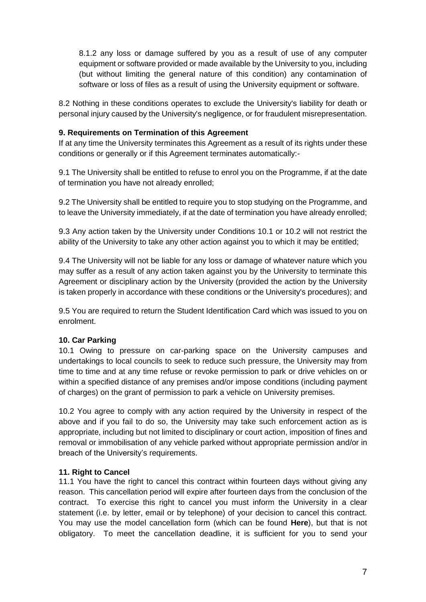8.1.2 any loss or damage suffered by you as a result of use of any computer equipment or software provided or made available by the University to you, including (but without limiting the general nature of this condition) any contamination of software or loss of files as a result of using the University equipment or software.

8.2 Nothing in these conditions operates to exclude the University's liability for death or personal injury caused by the University's negligence, or for fraudulent misrepresentation.

#### **9. Requirements on Termination of this Agreement**

If at any time the University terminates this Agreement as a result of its rights under these conditions or generally or if this Agreement terminates automatically:-

9.1 The University shall be entitled to refuse to enrol you on the Programme, if at the date of termination you have not already enrolled;

9.2 The University shall be entitled to require you to stop studying on the Programme, and to leave the University immediately, if at the date of termination you have already enrolled;

9.3 Any action taken by the University under Conditions 10.1 or 10.2 will not restrict the ability of the University to take any other action against you to which it may be entitled;

9.4 The University will not be liable for any loss or damage of whatever nature which you may suffer as a result of any action taken against you by the University to terminate this Agreement or disciplinary action by the University (provided the action by the University is taken properly in accordance with these conditions or the University's procedures); and

9.5 You are required to return the Student Identification Card which was issued to you on enrolment.

## **10. Car Parking**

10.1 Owing to pressure on car-parking space on the University campuses and undertakings to local councils to seek to reduce such pressure, the University may from time to time and at any time refuse or revoke permission to park or drive vehicles on or within a specified distance of any premises and/or impose conditions (including payment of charges) on the grant of permission to park a vehicle on University premises.

10.2 You agree to comply with any action required by the University in respect of the above and if you fail to do so, the University may take such enforcement action as is appropriate, including but not limited to disciplinary or court action, imposition of fines and removal or immobilisation of any vehicle parked without appropriate permission and/or in breach of the University's requirements.

#### **11. Right to Cancel**

11.1 You have the right to cancel this contract within fourteen days without giving any reason. This cancellation period will expire after fourteen days from the conclusion of the contract. To exercise this right to cancel you must inform the University in a clear statement (i.e. by letter, email or by telephone) of your decision to cancel this contract. You may use the model cancellation form (which can be found **[Here](#page-10-0)**), but that is not obligatory. To meet the cancellation deadline, it is sufficient for you to send your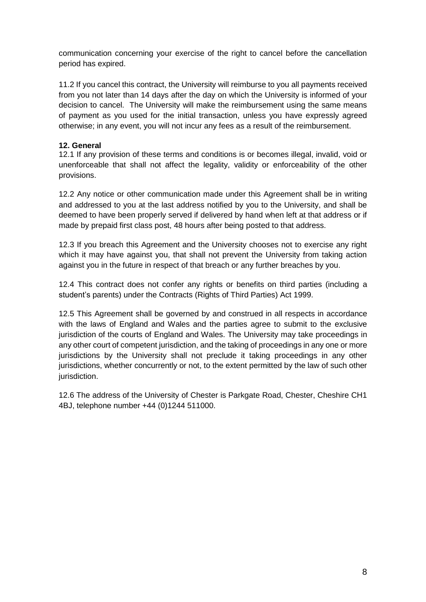communication concerning your exercise of the right to cancel before the cancellation period has expired.

11.2 If you cancel this contract, the University will reimburse to you all payments received from you not later than 14 days after the day on which the University is informed of your decision to cancel. The University will make the reimbursement using the same means of payment as you used for the initial transaction, unless you have expressly agreed otherwise; in any event, you will not incur any fees as a result of the reimbursement.

## **12. General**

12.1 If any provision of these terms and conditions is or becomes illegal, invalid, void or unenforceable that shall not affect the legality, validity or enforceability of the other provisions.

12.2 Any notice or other communication made under this Agreement shall be in writing and addressed to you at the last address notified by you to the University, and shall be deemed to have been properly served if delivered by hand when left at that address or if made by prepaid first class post, 48 hours after being posted to that address.

12.3 If you breach this Agreement and the University chooses not to exercise any right which it may have against you, that shall not prevent the University from taking action against you in the future in respect of that breach or any further breaches by you.

12.4 This contract does not confer any rights or benefits on third parties (including a student's parents) under the Contracts (Rights of Third Parties) Act 1999.

12.5 This Agreement shall be governed by and construed in all respects in accordance with the laws of England and Wales and the parties agree to submit to the exclusive jurisdiction of the courts of England and Wales. The University may take proceedings in any other court of competent jurisdiction, and the taking of proceedings in any one or more jurisdictions by the University shall not preclude it taking proceedings in any other jurisdictions, whether concurrently or not, to the extent permitted by the law of such other jurisdiction.

12.6 The address of the University of Chester is Parkgate Road, Chester, Cheshire CH1 4BJ, telephone number +44 (0)1244 511000.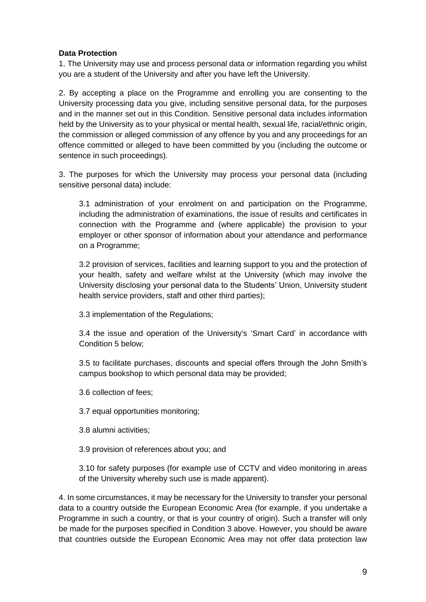#### **Data Protection**

1. The University may use and process personal data or information regarding you whilst you are a student of the University and after you have left the University.

2. By accepting a place on the Programme and enrolling you are consenting to the University processing data you give, including sensitive personal data, for the purposes and in the manner set out in this Condition. Sensitive personal data includes information held by the University as to your physical or mental health, sexual life, racial/ethnic origin, the commission or alleged commission of any offence by you and any proceedings for an offence committed or alleged to have been committed by you (including the outcome or sentence in such proceedings).

3. The purposes for which the University may process your personal data (including sensitive personal data) include:

3.1 administration of your enrolment on and participation on the Programme, including the administration of examinations, the issue of results and certificates in connection with the Programme and (where applicable) the provision to your employer or other sponsor of information about your attendance and performance on a Programme;

3.2 provision of services, facilities and learning support to you and the protection of your health, safety and welfare whilst at the University (which may involve the University disclosing your personal data to the Students' Union, University student health service providers, staff and other third parties);

3.3 implementation of the Regulations;

3.4 the issue and operation of the University's 'Smart Card' in accordance with Condition 5 below;

3.5 to facilitate purchases, discounts and special offers through the John Smith's campus bookshop to which personal data may be provided;

3.6 collection of fees;

3.7 equal opportunities monitoring:

3.8 alumni activities;

3.9 provision of references about you; and

3.10 for safety purposes (for example use of CCTV and video monitoring in areas of the University whereby such use is made apparent).

4. In some circumstances, it may be necessary for the University to transfer your personal data to a country outside the European Economic Area (for example, if you undertake a Programme in such a country, or that is your country of origin). Such a transfer will only be made for the purposes specified in Condition 3 above. However, you should be aware that countries outside the European Economic Area may not offer data protection law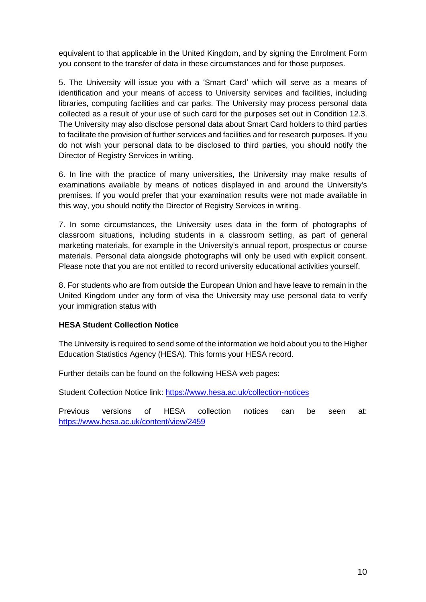equivalent to that applicable in the United Kingdom, and by signing the Enrolment Form you consent to the transfer of data in these circumstances and for those purposes.

5. The University will issue you with a 'Smart Card' which will serve as a means of identification and your means of access to University services and facilities, including libraries, computing facilities and car parks. The University may process personal data collected as a result of your use of such card for the purposes set out in Condition 12.3. The University may also disclose personal data about Smart Card holders to third parties to facilitate the provision of further services and facilities and for research purposes. If you do not wish your personal data to be disclosed to third parties, you should notify the Director of Registry Services in writing.

6. In line with the practice of many universities, the University may make results of examinations available by means of notices displayed in and around the University's premises. If you would prefer that your examination results were not made available in this way, you should notify the Director of Registry Services in writing.

7. In some circumstances, the University uses data in the form of photographs of classroom situations, including students in a classroom setting, as part of general marketing materials, for example in the University's annual report, prospectus or course materials. Personal data alongside photographs will only be used with explicit consent. Please note that you are not entitled to record university educational activities yourself.

8. For students who are from outside the European Union and have leave to remain in the United Kingdom under any form of visa the University may use personal data to verify your immigration status with

## **HESA Student Collection Notice**

The University is required to send some of the information we hold about you to the Higher Education Statistics Agency (HESA). This forms your HESA record.

Further details can be found on the following HESA web pages:

Student Collection Notice link: <https://www.hesa.ac.uk/collection-notices>

Previous versions of HESA collection notices can be seen at: <https://www.hesa.ac.uk/content/view/2459>